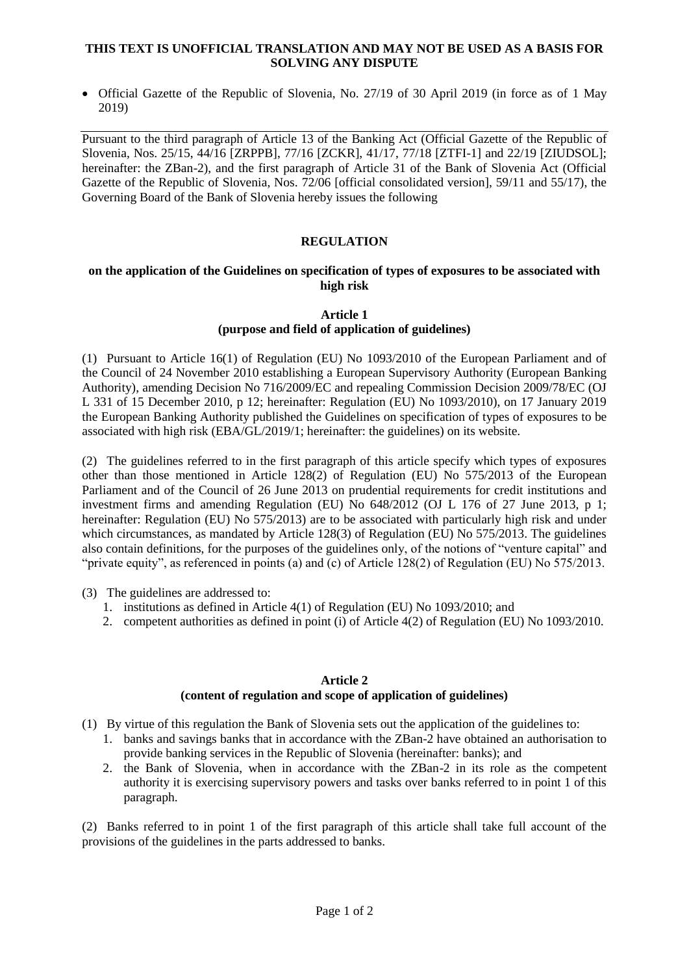### **THIS TEXT IS UNOFFICIAL TRANSLATION AND MAY NOT BE USED AS A BASIS FOR SOLVING ANY DISPUTE**

 Official Gazette of the Republic of Slovenia, No. 27/19 of 30 April 2019 (in force as of 1 May 2019)

Pursuant to the third paragraph of Article 13 of the Banking Act (Official Gazette of the Republic of Slovenia, Nos. 25/15, 44/16 [ZRPPB], 77/16 [ZCKR], 41/17, 77/18 [ZTFI-1] and 22/19 [ZIUDSOL]; hereinafter: the ZBan-2), and the first paragraph of Article 31 of the Bank of Slovenia Act (Official Gazette of the Republic of Slovenia, Nos. 72/06 [official consolidated version], 59/11 and 55/17), the Governing Board of the Bank of Slovenia hereby issues the following

## **REGULATION**

#### **on the application of the Guidelines on specification of types of exposures to be associated with high risk**

### **Article 1 (purpose and field of application of guidelines)**

(1) Pursuant to Article 16(1) of Regulation (EU) No 1093/2010 of the European Parliament and of the Council of 24 November 2010 establishing a European Supervisory Authority (European Banking Authority), amending Decision No 716/2009/EC and repealing Commission Decision 2009/78/EC (OJ L 331 of 15 December 2010, p 12; hereinafter: Regulation (EU) No 1093/2010), on 17 January 2019 the European Banking Authority published the Guidelines on specification of types of exposures to be associated with high risk (EBA/GL/2019/1; hereinafter: the guidelines) on its website.

(2) The guidelines referred to in the first paragraph of this article specify which types of exposures other than those mentioned in Article 128(2) of Regulation (EU) No 575/2013 of the European Parliament and of the Council of 26 June 2013 on prudential requirements for credit institutions and investment firms and amending Regulation (EU) No 648/2012 (OJ L 176 of 27 June 2013, p 1; hereinafter: Regulation (EU) No 575/2013) are to be associated with particularly high risk and under which circumstances, as mandated by Article 128(3) of Regulation (EU) No 575/2013. The guidelines also contain definitions, for the purposes of the guidelines only, of the notions of "venture capital" and "private equity", as referenced in points (a) and (c) of Article 128(2) of Regulation (EU) No 575/2013.

(3) The guidelines are addressed to:

- 1. institutions as defined in Article 4(1) of Regulation (EU) No 1093/2010; and
- 2. competent authorities as defined in point (i) of Article 4(2) of Regulation (EU) No 1093/2010.

#### **Article 2 (content of regulation and scope of application of guidelines)**

- (1) By virtue of this regulation the Bank of Slovenia sets out the application of the guidelines to:
	- 1. banks and savings banks that in accordance with the ZBan-2 have obtained an authorisation to provide banking services in the Republic of Slovenia (hereinafter: banks); and
	- 2. the Bank of Slovenia, when in accordance with the ZBan-2 in its role as the competent authority it is exercising supervisory powers and tasks over banks referred to in point 1 of this paragraph.

(2) Banks referred to in point 1 of the first paragraph of this article shall take full account of the provisions of the guidelines in the parts addressed to banks.